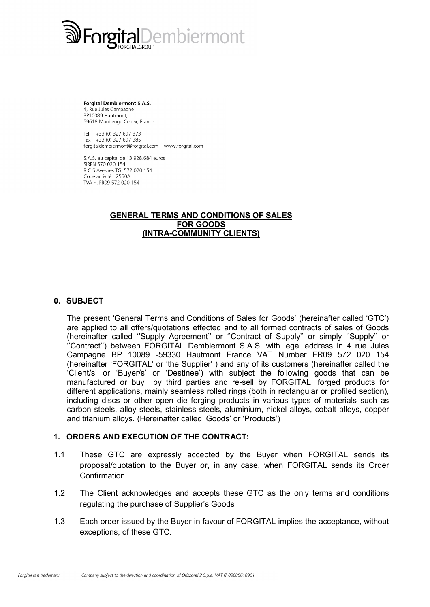

**Forgital Dembiermont S.A.S.** 4, Rue Jules Campagne BP10089 Hautmont, 59618 Maubeuge Cedex, France

Tel +33 (0) 327 697 373 Fax  $+33(0)$  327 697 385 forgitaldembiermont@forgital.com www.forgital.com

S.A.S. au capital de 13.928.684 euros SIREN 570 020 154 R.C.S Avesnes TGI 572 020 154 Code activité 2550A TVA n. FR09 572 020 154

#### GENERAL TERMS AND CONDITIONS OF SALES FOR GOODS (INTRA-COMMUNITY CLIENTS)

#### 0. SUBJECT

The present 'General Terms and Conditions of Sales for Goods' (hereinafter called 'GTC') are applied to all offers/quotations effected and to all formed contracts of sales of Goods (hereinafter called ''Supply Agreement'' or ''Contract of Supply'' or simply ''Supply'' or ''Contract'') between FORGITAL Dembiermont S.A.S. with legal address in 4 rue Jules Campagne BP 10089 -59330 Hautmont France VAT Number FR09 572 020 154 (hereinafter 'FORGITAL' or 'the Supplier' ) and any of its customers (hereinafter called the 'Client/s' or 'Buyer/s' or 'Destinee') with subject the following goods that can be manufactured or buy by third parties and re-sell by FORGITAL: forged products for different applications, mainly seamless rolled rings (both in rectangular or profiled section), including discs or other open die forging products in various types of materials such as carbon steels, alloy steels, stainless steels, aluminium, nickel alloys, cobalt alloys, copper and titanium alloys. (Hereinafter called 'Goods' or 'Products')

#### 1. ORDERS AND EXECUTION OF THE CONTRACT:

- 1.1. These GTC are expressly accepted by the Buyer when FORGITAL sends its proposal/quotation to the Buyer or, in any case, when FORGITAL sends its Order Confirmation.
- 1.2. The Client acknowledges and accepts these GTC as the only terms and conditions regulating the purchase of Supplier's Goods
- 1.3. Each order issued by the Buyer in favour of FORGITAL implies the acceptance, without exceptions, of these GTC.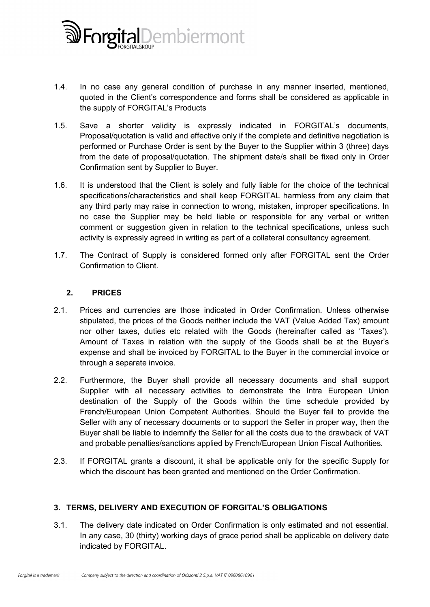

- 1.4. In no case any general condition of purchase in any manner inserted, mentioned, quoted in the Client's correspondence and forms shall be considered as applicable in the supply of FORGITAL's Products
- 1.5. Save a shorter validity is expressly indicated in FORGITAL's documents, Proposal/quotation is valid and effective only if the complete and definitive negotiation is performed or Purchase Order is sent by the Buyer to the Supplier within 3 (three) days from the date of proposal/quotation. The shipment date/s shall be fixed only in Order Confirmation sent by Supplier to Buyer.
- 1.6. It is understood that the Client is solely and fully liable for the choice of the technical specifications/characteristics and shall keep FORGITAL harmless from any claim that any third party may raise in connection to wrong, mistaken, improper specifications. In no case the Supplier may be held liable or responsible for any verbal or written comment or suggestion given in relation to the technical specifications, unless such activity is expressly agreed in writing as part of a collateral consultancy agreement.
- 1.7. The Contract of Supply is considered formed only after FORGITAL sent the Order Confirmation to Client.

### 2. PRICES

- 2.1. Prices and currencies are those indicated in Order Confirmation. Unless otherwise stipulated, the prices of the Goods neither include the VAT (Value Added Tax) amount nor other taxes, duties etc related with the Goods (hereinafter called as 'Taxes'). Amount of Taxes in relation with the supply of the Goods shall be at the Buyer's expense and shall be invoiced by FORGITAL to the Buyer in the commercial invoice or through a separate invoice.
- 2.2. Furthermore, the Buyer shall provide all necessary documents and shall support Supplier with all necessary activities to demonstrate the Intra European Union destination of the Supply of the Goods within the time schedule provided by French/European Union Competent Authorities. Should the Buyer fail to provide the Seller with any of necessary documents or to support the Seller in proper way, then the Buyer shall be liable to indemnify the Seller for all the costs due to the drawback of VAT and probable penalties/sanctions applied by French/European Union Fiscal Authorities.
- 2.3. If FORGITAL grants a discount, it shall be applicable only for the specific Supply for which the discount has been granted and mentioned on the Order Confirmation.

# 3. TERMS, DELIVERY AND EXECUTION OF FORGITAL'S OBLIGATIONS

3.1. The delivery date indicated on Order Confirmation is only estimated and not essential. In any case, 30 (thirty) working days of grace period shall be applicable on delivery date indicated by FORGITAL.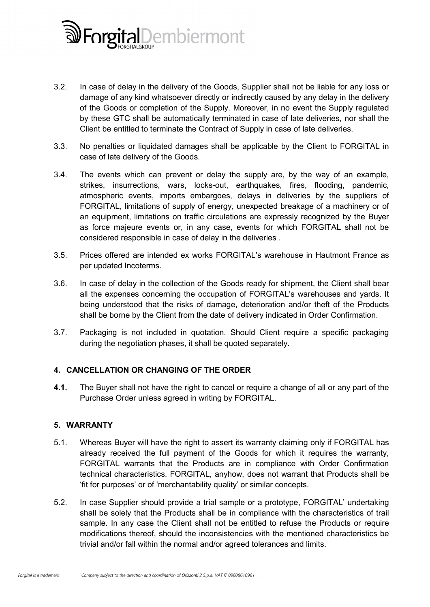

- 3.2. In case of delay in the delivery of the Goods, Supplier shall not be liable for any loss or damage of any kind whatsoever directly or indirectly caused by any delay in the delivery of the Goods or completion of the Supply. Moreover, in no event the Supply regulated by these GTC shall be automatically terminated in case of late deliveries, nor shall the Client be entitled to terminate the Contract of Supply in case of late deliveries.
- 3.3. No penalties or liquidated damages shall be applicable by the Client to FORGITAL in case of late delivery of the Goods.
- 3.4. The events which can prevent or delay the supply are, by the way of an example, strikes, insurrections, wars, locks-out, earthquakes, fires, flooding, pandemic, atmospheric events, imports embargoes, delays in deliveries by the suppliers of FORGITAL, limitations of supply of energy, unexpected breakage of a machinery or of an equipment, limitations on traffic circulations are expressly recognized by the Buyer as force majeure events or, in any case, events for which FORGITAL shall not be considered responsible in case of delay in the deliveries .
- 3.5. Prices offered are intended ex works FORGITAL's warehouse in Hautmont France as per updated Incoterms.
- 3.6. In case of delay in the collection of the Goods ready for shipment, the Client shall bear all the expenses concerning the occupation of FORGITAL's warehouses and yards. It being understood that the risks of damage, deterioration and/or theft of the Products shall be borne by the Client from the date of delivery indicated in Order Confirmation.
- 3.7. Packaging is not included in quotation. Should Client require a specific packaging during the negotiation phases, it shall be quoted separately.

# 4. CANCELLATION OR CHANGING OF THE ORDER

4.1. The Buyer shall not have the right to cancel or require a change of all or any part of the Purchase Order unless agreed in writing by FORGITAL.

### 5. WARRANTY

- 5.1. Whereas Buyer will have the right to assert its warranty claiming only if FORGITAL has already received the full payment of the Goods for which it requires the warranty, FORGITAL warrants that the Products are in compliance with Order Confirmation technical characteristics. FORGITAL, anyhow, does not warrant that Products shall be 'fit for purposes' or of 'merchantability quality' or similar concepts.
- 5.2. In case Supplier should provide a trial sample or a prototype, FORGITAL' undertaking shall be solely that the Products shall be in compliance with the characteristics of trail sample. In any case the Client shall not be entitled to refuse the Products or require modifications thereof, should the inconsistencies with the mentioned characteristics be trivial and/or fall within the normal and/or agreed tolerances and limits.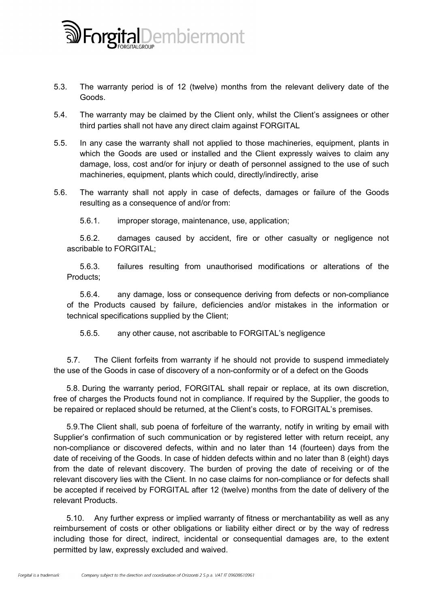

- 5.3. The warranty period is of 12 (twelve) months from the relevant delivery date of the Goods.
- 5.4. The warranty may be claimed by the Client only, whilst the Client's assignees or other third parties shall not have any direct claim against FORGITAL
- 5.5. In any case the warranty shall not applied to those machineries, equipment, plants in which the Goods are used or installed and the Client expressly waives to claim any damage, loss, cost and/or for injury or death of personnel assigned to the use of such machineries, equipment, plants which could, directly/indirectly, arise
- 5.6. The warranty shall not apply in case of defects, damages or failure of the Goods resulting as a consequence of and/or from:
	- 5.6.1. improper storage, maintenance, use, application;

5.6.2. damages caused by accident, fire or other casualty or negligence not ascribable to FORGITAL;

5.6.3. failures resulting from unauthorised modifications or alterations of the Products;

5.6.4. any damage, loss or consequence deriving from defects or non-compliance of the Products caused by failure, deficiencies and/or mistakes in the information or technical specifications supplied by the Client;

5.6.5. any other cause, not ascribable to FORGITAL's negligence

5.7. The Client forfeits from warranty if he should not provide to suspend immediately the use of the Goods in case of discovery of a non-conformity or of a defect on the Goods

5.8. During the warranty period, FORGITAL shall repair or replace, at its own discretion, free of charges the Products found not in compliance. If required by the Supplier, the goods to be repaired or replaced should be returned, at the Client's costs, to FORGITAL's premises.

5.9.The Client shall, sub poena of forfeiture of the warranty, notify in writing by email with Supplier's confirmation of such communication or by registered letter with return receipt, any non-compliance or discovered defects, within and no later than 14 (fourteen) days from the date of receiving of the Goods. In case of hidden defects within and no later than 8 (eight) days from the date of relevant discovery. The burden of proving the date of receiving or of the relevant discovery lies with the Client. In no case claims for non-compliance or for defects shall be accepted if received by FORGITAL after 12 (twelve) months from the date of delivery of the relevant Products.

5.10. Any further express or implied warranty of fitness or merchantability as well as any reimbursement of costs or other obligations or liability either direct or by the way of redress including those for direct, indirect, incidental or consequential damages are, to the extent permitted by law, expressly excluded and waived.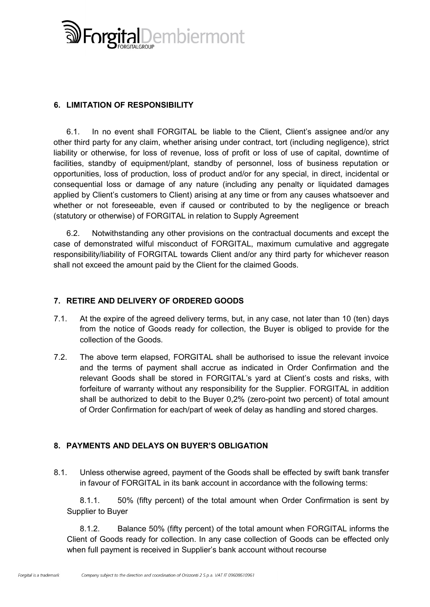

# 6. LIMITATION OF RESPONSIBILITY

6.1. In no event shall FORGITAL be liable to the Client, Client's assignee and/or any other third party for any claim, whether arising under contract, tort (including negligence), strict liability or otherwise, for loss of revenue, loss of profit or loss of use of capital, downtime of facilities, standby of equipment/plant, standby of personnel, loss of business reputation or opportunities, loss of production, loss of product and/or for any special, in direct, incidental or consequential loss or damage of any nature (including any penalty or liquidated damages applied by Client's customers to Client) arising at any time or from any causes whatsoever and whether or not foreseeable, even if caused or contributed to by the negligence or breach (statutory or otherwise) of FORGITAL in relation to Supply Agreement

6.2. Notwithstanding any other provisions on the contractual documents and except the case of demonstrated wilful misconduct of FORGITAL, maximum cumulative and aggregate responsibility/liability of FORGITAL towards Client and/or any third party for whichever reason shall not exceed the amount paid by the Client for the claimed Goods.

### 7. RETIRE AND DELIVERY OF ORDERED GOODS

- 7.1. At the expire of the agreed delivery terms, but, in any case, not later than 10 (ten) days from the notice of Goods ready for collection, the Buyer is obliged to provide for the collection of the Goods.
- 7.2. The above term elapsed, FORGITAL shall be authorised to issue the relevant invoice and the terms of payment shall accrue as indicated in Order Confirmation and the relevant Goods shall be stored in FORGITAL's yard at Client's costs and risks, with forfeiture of warranty without any responsibility for the Supplier. FORGITAL in addition shall be authorized to debit to the Buyer 0,2% (zero-point two percent) of total amount of Order Confirmation for each/part of week of delay as handling and stored charges.

# 8. PAYMENTS AND DELAYS ON BUYER'S OBLIGATION

8.1. Unless otherwise agreed, payment of the Goods shall be effected by swift bank transfer in favour of FORGITAL in its bank account in accordance with the following terms:

8.1.1. 50% (fifty percent) of the total amount when Order Confirmation is sent by Supplier to Buyer

8.1.2. Balance 50% (fifty percent) of the total amount when FORGITAL informs the Client of Goods ready for collection. In any case collection of Goods can be effected only when full payment is received in Supplier's bank account without recourse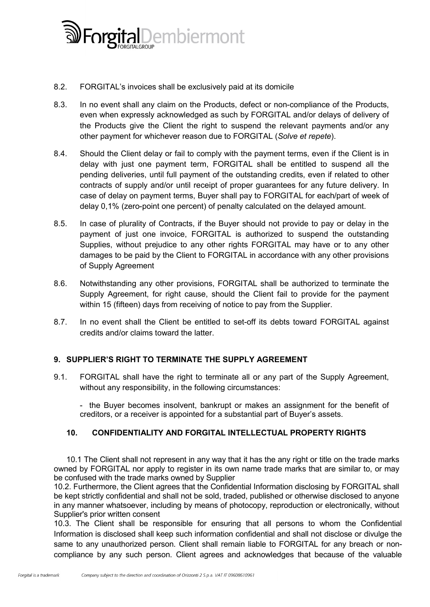

- 8.2. FORGITAL's invoices shall be exclusively paid at its domicile
- 8.3. In no event shall any claim on the Products, defect or non-compliance of the Products, even when expressly acknowledged as such by FORGITAL and/or delays of delivery of the Products give the Client the right to suspend the relevant payments and/or any other payment for whichever reason due to FORGITAL (*Solve et repete*).
- 8.4. Should the Client delay or fail to comply with the payment terms, even if the Client is in delay with just one payment term, FORGITAL shall be entitled to suspend all the pending deliveries, until full payment of the outstanding credits, even if related to other contracts of supply and/or until receipt of proper guarantees for any future delivery. In case of delay on payment terms, Buyer shall pay to FORGITAL for each/part of week of delay 0,1% (zero-point one percent) of penalty calculated on the delayed amount.
- 8.5. In case of plurality of Contracts, if the Buyer should not provide to pay or delay in the payment of just one invoice, FORGITAL is authorized to suspend the outstanding Supplies, without prejudice to any other rights FORGITAL may have or to any other damages to be paid by the Client to FORGITAL in accordance with any other provisions of Supply Agreement
- 8.6. Notwithstanding any other provisions, FORGITAL shall be authorized to terminate the Supply Agreement, for right cause, should the Client fail to provide for the payment within 15 (fifteen) days from receiving of notice to pay from the Supplier.
- 8.7. In no event shall the Client be entitled to set-off its debts toward FORGITAL against credits and/or claims toward the latter.

### 9. SUPPLIER'S RIGHT TO TERMINATE THE SUPPLY AGREEMENT

9.1. FORGITAL shall have the right to terminate all or any part of the Supply Agreement, without any responsibility, in the following circumstances:

- the Buyer becomes insolvent, bankrupt or makes an assignment for the benefit of creditors, or a receiver is appointed for a substantial part of Buyer's assets.

### 10. CONFIDENTIALITY AND FORGITAL INTELLECTUAL PROPERTY RIGHTS

10.1 The Client shall not represent in any way that it has the any right or title on the trade marks owned by FORGITAL nor apply to register in its own name trade marks that are similar to, or may be confused with the trade marks owned by Supplier

10.2. Furthermore, the Client agrees that the Confidential Information disclosing by FORGITAL shall be kept strictly confidential and shall not be sold, traded, published or otherwise disclosed to anyone in any manner whatsoever, including by means of photocopy, reproduction or electronically, without Supplier's prior written consent

10.3. The Client shall be responsible for ensuring that all persons to whom the Confidential Information is disclosed shall keep such information confidential and shall not disclose or divulge the same to any unauthorized person. Client shall remain liable to FORGITAL for any breach or noncompliance by any such person. Client agrees and acknowledges that because of the valuable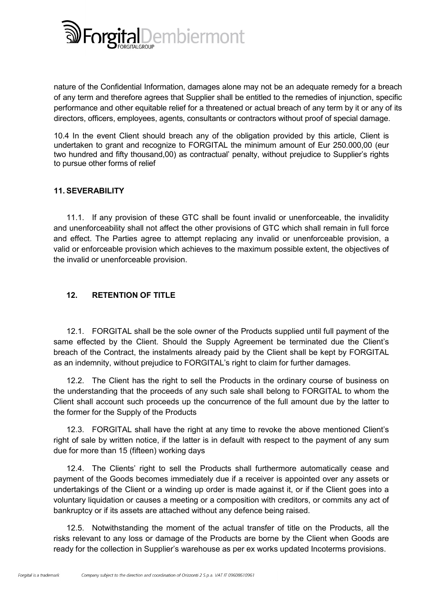

nature of the Confidential Information, damages alone may not be an adequate remedy for a breach of any term and therefore agrees that Supplier shall be entitled to the remedies of injunction, specific performance and other equitable relief for a threatened or actual breach of any term by it or any of its directors, officers, employees, agents, consultants or contractors without proof of special damage.

10.4 In the event Client should breach any of the obligation provided by this article, Client is undertaken to grant and recognize to FORGITAL the minimum amount of Eur 250.000,00 (eur two hundred and fifty thousand,00) as contractual' penalty, without prejudice to Supplier's rights to pursue other forms of relief

# 11. SEVERABILITY

11.1. If any provision of these GTC shall be fount invalid or unenforceable, the invalidity and unenforceability shall not affect the other provisions of GTC which shall remain in full force and effect. The Parties agree to attempt replacing any invalid or unenforceable provision, a valid or enforceable provision which achieves to the maximum possible extent, the objectives of the invalid or unenforceable provision.

# 12. RETENTION OF TITLE

12.1. FORGITAL shall be the sole owner of the Products supplied until full payment of the same effected by the Client. Should the Supply Agreement be terminated due the Client's breach of the Contract, the instalments already paid by the Client shall be kept by FORGITAL as an indemnity, without prejudice to FORGITAL's right to claim for further damages.

12.2. The Client has the right to sell the Products in the ordinary course of business on the understanding that the proceeds of any such sale shall belong to FORGITAL to whom the Client shall account such proceeds up the concurrence of the full amount due by the latter to the former for the Supply of the Products

12.3. FORGITAL shall have the right at any time to revoke the above mentioned Client's right of sale by written notice, if the latter is in default with respect to the payment of any sum due for more than 15 (fifteen) working days

12.4. The Clients' right to sell the Products shall furthermore automatically cease and payment of the Goods becomes immediately due if a receiver is appointed over any assets or undertakings of the Client or a winding up order is made against it, or if the Client goes into a voluntary liquidation or causes a meeting or a composition with creditors, or commits any act of bankruptcy or if its assets are attached without any defence being raised.

12.5. Notwithstanding the moment of the actual transfer of title on the Products, all the risks relevant to any loss or damage of the Products are borne by the Client when Goods are ready for the collection in Supplier's warehouse as per ex works updated Incoterms provisions.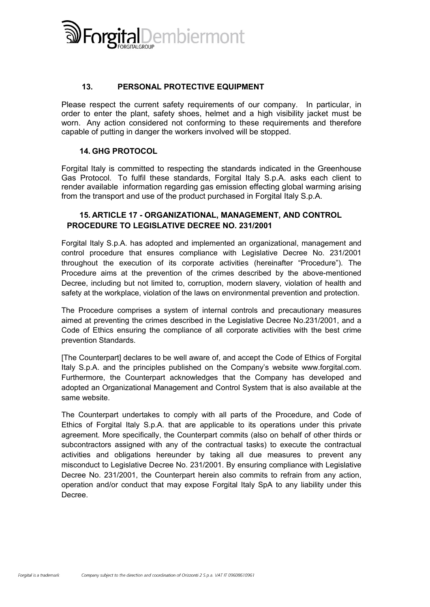

### 13. PERSONAL PROTECTIVE EQUIPMENT

Please respect the current safety requirements of our company. In particular, in order to enter the plant, safety shoes, helmet and a high visibility jacket must be worn. Any action considered not conforming to these requirements and therefore capable of putting in danger the workers involved will be stopped.

#### 14. GHG PROTOCOL

Forgital Italy is committed to respecting the standards indicated in the Greenhouse Gas Protocol. To fulfil these standards, Forgital Italy S.p.A. asks each client to render available information regarding gas emission effecting global warming arising from the transport and use of the product purchased in Forgital Italy S.p.A.

### 15. ARTICLE 17 - ORGANIZATIONAL, MANAGEMENT, AND CONTROL PROCEDURE TO LEGISLATIVE DECREE NO. 231/2001

Forgital Italy S.p.A. has adopted and implemented an organizational, management and control procedure that ensures compliance with Legislative Decree No. 231/2001 throughout the execution of its corporate activities (hereinafter "Procedure"). The Procedure aims at the prevention of the crimes described by the above-mentioned Decree, including but not limited to, corruption, modern slavery, violation of health and safety at the workplace, violation of the laws on environmental prevention and protection.

The Procedure comprises a system of internal controls and precautionary measures aimed at preventing the crimes described in the Legislative Decree No.231/2001, and a Code of Ethics ensuring the compliance of all corporate activities with the best crime prevention Standards.

[The Counterpart] declares to be well aware of, and accept the Code of Ethics of Forgital Italy S.p.A. and the principles published on the Company's website www.forgital.com. Furthermore, the Counterpart acknowledges that the Company has developed and adopted an Organizational Management and Control System that is also available at the same website.

The Counterpart undertakes to comply with all parts of the Procedure, and Code of Ethics of Forgital Italy S.p.A. that are applicable to its operations under this private agreement. More specifically, the Counterpart commits (also on behalf of other thirds or subcontractors assigned with any of the contractual tasks) to execute the contractual activities and obligations hereunder by taking all due measures to prevent any misconduct to Legislative Decree No. 231/2001. By ensuring compliance with Legislative Decree No. 231/2001, the Counterpart herein also commits to refrain from any action, operation and/or conduct that may expose Forgital Italy SpA to any liability under this Decree.